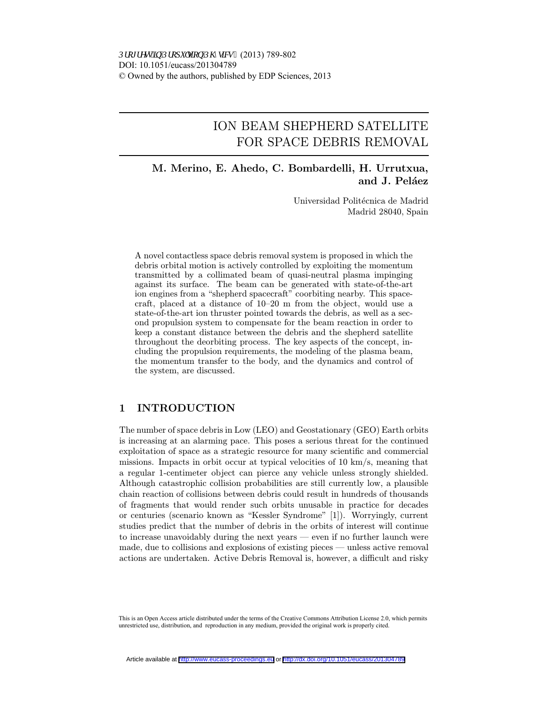# ION BEAM SHEPHERD SATELLITE FOR SPACE DEBRIS REMOVAL

## M. Merino, E. Ahedo, C. Bombardelli, H. Urrutxua, and J. Peláez

Universidad Politécnica de Madrid Madrid 28040, Spain

A novel contactless space debris removal system is proposed in which the debris orbital motion is actively controlled by exploiting the momentum transmitted by a collimated beam of quasi-neutral plasma impinging against its surface. The beam can be generated with state-of-the-art ion engines from a "shepherd spacecraft" coorbiting nearby. This spacecraft, placed at a distance of 10-20 m from the object, would use a state-of-the-art ion thruster pointed towards the debris, as well as a second propulsion system to compensate for the beam reaction in order to keep a constant distance between the debris and the shepherd satellite throughout the deorbiting process. The key aspects of the concept, including the propulsion requirements, the modeling of the plasma beam, the momentum transfer to the body, and the dynamics and control of the system, are discussed.

### 1 INTRODUCTION

The number of space debris in Low (LEO) and Geostationary (GEO) Earth orbits is increasing at an alarming pace. This poses a serious threat for the continued exploitation of space as a strategic resource for many scientific and commercial missions. Impacts in orbit occur at typical velocities of 10 km/s, meaning that a regular 1-centimeter object can pierce any vehicle unless strongly shielded. Although catastrophic collision probabilities are still currently low, a plausible chain reaction of collisions between debris could result in hundreds of thousands of fragments that would render such orbits unusable in practice for decades or centuries (scenario known as "Kessler Syndrome" [1]). Worryingly, current studies predict that the number of debris in the orbits of interest will continue to increase unavoidably during the next years  $-$  even if no further launch were  $m$ ade, due to collisions and explosions of existing pieces — unless active removal actions are undertaken. Active Debris Removal is, however, a difficult and risky

This is an Open Access article distributed under the terms of the Creative Commons Attribution License 2.0, which permits unrestricted use, distribution, and reproduction in any medium, provided the original work is properly cited.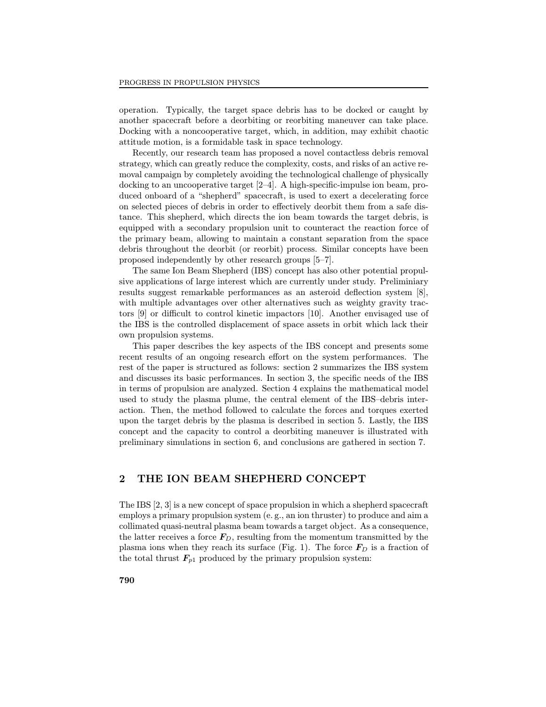operation. Typically, the target space debris has to be docked or caught by another spacecraft before a deorbiting or reorbiting maneuver can take place. Docking with a noncooperative target, which, in addition, may exhibit chaotic attitude motion, is a formidable task in space technology.

Recently, our research team has proposed a novel contactless debris removal strategy, which can greatly reduce the complexity, costs, and risks of an active removal campaign by completely avoiding the technological challenge of physically docking to an uncooperative target  $[2-4]$ . A high-specific-impulse ion beam, produced onboard of a "shepherd" spacecraft, is used to exert a decelerating force on selected pieces of debris in order to effectively deorbit them from a safe distance. This shepherd, which directs the ion beam towards the target debris, is equipped with a secondary propulsion unit to counteract the reaction force of the primary beam, allowing to maintain a constant separation from the space debris throughout the deorbit (or reorbit) process. Similar concepts have been proposed independently by other research groups [5-7].

The same Ion Beam Shepherd (IBS) concept has also other potential propulsive applications of large interest which are currently under study. Preliminiary results suggest remarkable performances as an asteroid deflection system [8], with multiple advantages over other alternatives such as weighty gravity tractors  $[9]$  or difficult to control kinetic impactors  $[10]$ . Another envisaged use of the IBS is the controlled displacement of space assets in orbit which lack their own propulsion systems.

This paper describes the key aspects of the IBS concept and presents some recent results of an ongoing research effort on the system performances. The rest of the paper is structured as follows: section 2 summarizes the IBS system and discusses its basic performances. In section 3, the specific needs of the IBS in terms of propulsion are analyzed. Section 4 explains the mathematical model used to study the plasma plume, the central element of the IBS-debris interaction. Then, the method followed to calculate the forces and torques exerted upon the target debris by the plasma is described in section 5. Lastly, the IBS concept and the capacity to control a deorbiting maneuver is illustrated with preliminary simulations in section 6, and conclusions are gathered in section 7.

### 2 THE ION BEAM SHEPHERD CONCEPT

The IBS [2, 3] is a new concept of space propulsion in which a shepherd spacecraft employs a primary propulsion system (e. g., an ion thruster) to produce and aim a collimated quasi-neutral plasma beam towards a target object. As a consequence, the latter receives a force  $F_D$ , resulting from the momentum transmitted by the plasma ions when they reach its surface (Fig. 1). The force  $F_D$  is a fraction of the total thrust  $F_{p1}$  produced by the primary propulsion system: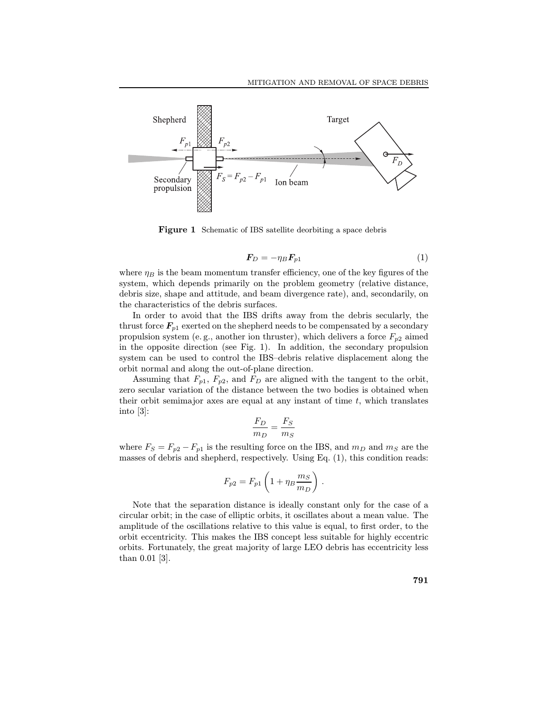

Figure 1 Schematic of IBS satellite deorbiting a space debris

$$
\boldsymbol{F}_D = -\eta_B \boldsymbol{F}_{p1} \tag{1}
$$

where  $\eta_B$  is the beam momentum transfer efficiency, one of the key figures of the system, which depends primarily on the problem geometry (relative distance, debris size, shape and attitude, and beam divergence rate), and, secondarily, on the characteristics of the debris surfaces.

In order to avoid that the IBS drifts away from the debris secularly, the thrust force  $F_{p1}$  exerted on the shepherd needs to be compensated by a secondary propulsion system (e.g., another ion thruster), which delivers a force  $F_{p2}$  aimed in the opposite direction (see Fig. 1). In addition, the secondary propulsion system can be used to control the IBS-debris relative displacement along the orbit normal and along the out-of-plane direction.

Assuming that  $F_{p1}$ ,  $F_{p2}$ , and  $F_D$  are aligned with the tangent to the orbit, zero secular variation of the distance between the two bodies is obtained when their orbit semimajor axes are equal at any instant of time  $t$ , which translates into [3]:

$$
\frac{F_D}{m_D} = \frac{F_S}{m_S}
$$

where  $F_S = F_{p2} - F_{p1}$  is the resulting force on the IBS, and  $m_D$  and  $m_S$  are the masses of debris and shepherd, respectively. Using Eq. (1), this condition reads:

$$
F_{p2} = F_{p1} \left( 1 + \eta_B \frac{m_S}{m_D} \right) .
$$

Note that the separation distance is ideally constant only for the case of a circular orbit; in the case of elliptic orbits, it oscillates about a mean value. The amplitude of the oscillations relative to this value is equal, to first order, to the orbit eccentricity. This makes the IBS concept less suitable for highly eccentric orbits. Fortunately, the great majority of large LEO debris has eccentricity less than 0.01 [3].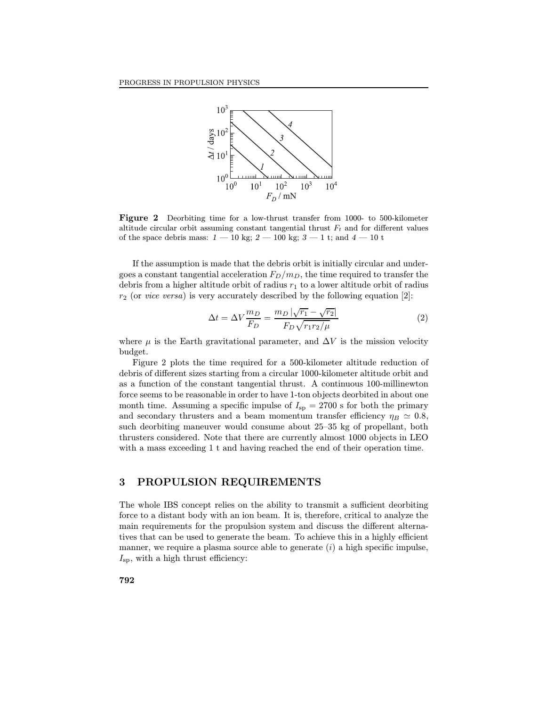

Figure 2 Deorbiting time for a low-thrust transfer from 1000- to 500-kilometer altitude circular orbit assuming constant tangential thrust  $F_t$  and for different values of the space debris mass:  $1 - 10$  kg;  $2 - 100$  kg;  $3 - 1$  t; and  $4 - 10$  t

If the assumption is made that the debris orbit is initially circular and undergoes a constant tangential acceleration  $F_D/m_D$ , the time required to transfer the debris from a higher altitude orbit of radius  $r_1$  to a lower altitude orbit of radius  $r_2$  (or *vice versa*) is very accurately described by the following equation [2]:

$$
\Delta t = \Delta V \frac{m_D}{F_D} = \frac{m_D |\sqrt{r_1} - \sqrt{r_2}|}{F_D \sqrt{r_1 r_2/\mu}}\tag{2}
$$

where  $\mu$  is the Earth gravitational parameter, and  $\Delta V$  is the mission velocity budget.

Figure 2 plots the time required for a 500-kilometer altitude reduction of debris of different sizes starting from a circular 1000-kilometer altitude orbit and as a function of the constant tangential thrust. A continuous 100-millinewton force seems to be reasonable in order to have 1-ton objects deorbited in about one month time. Assuming a specific impulse of  $I_{\rm{sp}} = 2700$  s for both the primary and secondary thrusters and a beam momentum transfer efficiency  $\eta_B \simeq 0.8$ , such deorbiting maneuver would consume about  $25-35$  kg of propellant, both thrusters considered. Note that there are currently almost 1000 objects in LEO with a mass exceeding 1 t and having reached the end of their operation time.

#### 3 PROPULSION REQUIREMENTS

The whole IBS concept relies on the ability to transmit a sufficient deorbiting force to a distant body with an ion beam. It is, therefore, critical to analyze the main requirements for the propulsion system and discuss the different alternatives that can be used to generate the beam. To achieve this in a highly efficient manner, we require a plasma source able to generate  $(i)$  a high specific impulse,  $I_{\rm{sp}}$ , with a high thrust efficiency: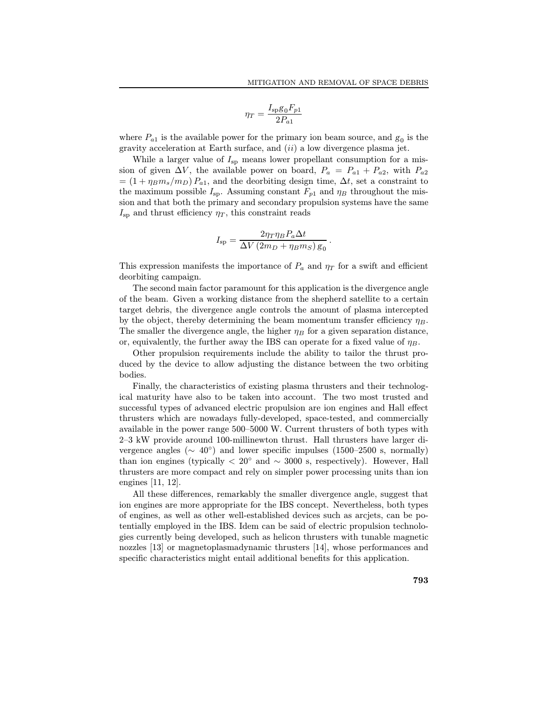$$
\eta_T = \frac{I_{\rm sp} g_0 F_{p1}}{2P_{a1}}
$$

where  $P_{a1}$  is the available power for the primary ion beam source, and  $g_0$  is the gravity acceleration at Earth surface, and  $(ii)$  a low divergence plasma jet.

While a larger value of  $I_{sp}$  means lower propellant consumption for a mission of given  $\Delta V$ , the available power on board,  $P_a = P_{a1} + P_{a2}$ , with  $P_{a2}$  $= (1 + \eta_B m_s/m_D) P_{a1}$ , and the deorbiting design time,  $\Delta t$ , set a constraint to the maximum possible  $I_{sp}$ . Assuming constant  $F_{p1}$  and  $\eta_B$  throughout the mission and that both the primary and secondary propulsion systems have the same  $I_{\rm sp}$  and thrust efficiency  $\eta_T$ , this constraint reads

$$
I_{\rm sp} = \frac{2\eta_T \eta_B P_a \Delta t}{\Delta V (2m_D + \eta_B m_S) g_0}.
$$

This expression manifests the importance of  $P_a$  and  $\eta_T$  for a swift and efficient deorbiting campaign.

The second main factor paramount for this application is the divergence angle of the beam. Given a working distance from the shepherd satellite to a certain target debris, the divergence angle controls the amount of plasma intercepted by the object, thereby determining the beam momentum transfer efficiency  $\eta_B$ . The smaller the divergence angle, the higher  $\eta_B$  for a given separation distance, or, equivalently, the further away the IBS can operate for a fixed value of  $\eta_B$ .

Other propulsion requirements include the ability to tailor the thrust produced by the device to allow adjusting the distance between the two orbiting bodies.

Finally, the characteristics of existing plasma thrusters and their technological maturity have also to be taken into account. The two most trusted and successful types of advanced electric propulsion are ion engines and Hall effect thrusters which are nowadays fully-developed, space-tested, and commercially available in the power range 500-5000 W. Current thrusters of both types with 23 kW provide around 100-millinewton thrust. Hall thrusters have larger divergence angles ( $\sim 40^{\circ}$ ) and lower specific impulses (1500–2500 s, normally) than ion engines (typically  $\langle 20^\circ \rangle$  and  $\sim 3000$  s, respectively). However, Hall thrusters are more compact and rely on simpler power processing units than ion engines [11, 12].

All these differences, remarkably the smaller divergence angle, suggest that ion engines are more appropriate for the IBS concept. Nevertheless, both types of engines, as well as other well-established devices such as arcjets, can be potentially employed in the IBS. Idem can be said of electric propulsion technologies currently being developed, such as helicon thrusters with tunable magnetic nozzles [13] or magnetoplasmadynamic thrusters [14], whose performances and specific characteristics might entail additional benefits for this application.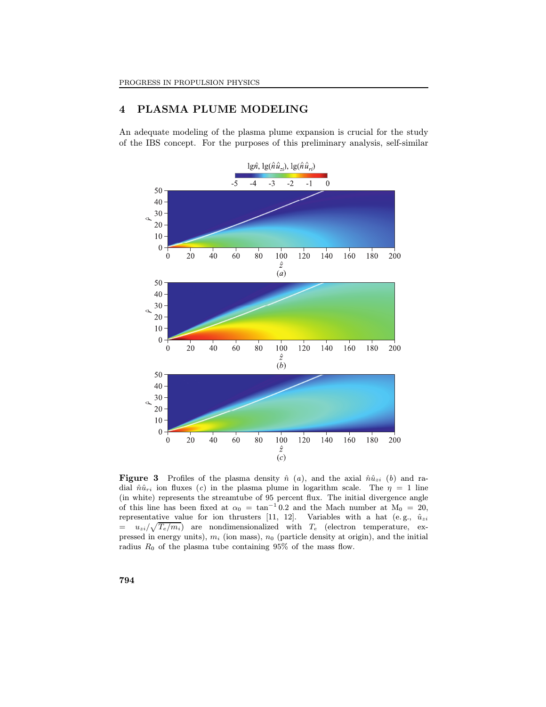### 4 PLASMA PLUME MODELING

An adequate modeling of the plasma plume expansion is crucial for the study of the IBS concept. For the purposes of this preliminary analysis, self-similar



**Figure 3** Profiles of the plasma density  $\hat{n}$  (a), and the axial  $\hat{n} \hat{u}_{zi}$  (b) and radial  $\hat{n}\hat{u}_{ri}$  ion fluxes (c) in the plasma plume in logarithm scale. The  $\eta = 1$  line  $(in white)$  represents the streamtube of 95 percent flux. The initial divergence angle of this line has been fixed at  $\alpha_0 = \tan^{-1} 0.2$  and the Mach number at  $M_0 = 20$ , representative value for ion thrusters [11, 12]. Variables with a hat (e.g.,  $\hat{u}_{zi}$ )  $= u_{zi}/\sqrt{T_e/m_i}$  are nondimensionalized with  $T_e$  (electron temperature, expressed in energy units),  $m_i$  (ion mass),  $n_0$  (particle density at origin), and the initial radius  $R_0$  of the plasma tube containing 95% of the mass flow.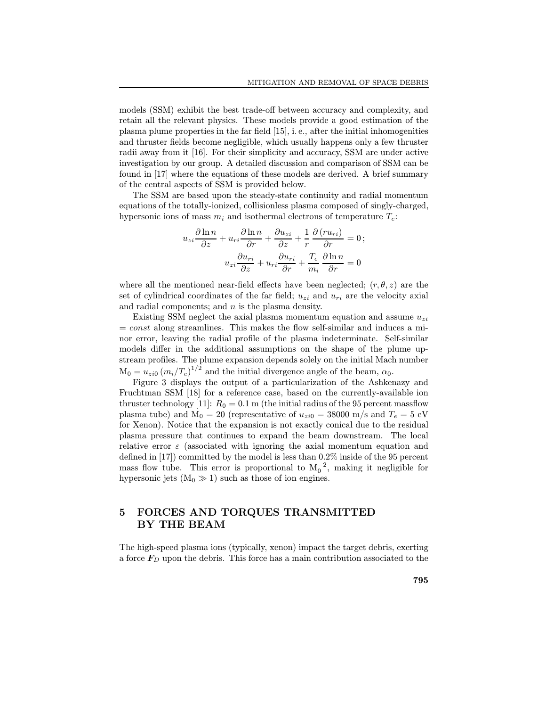models (SSM) exhibit the best trade-off between accuracy and complexity, and retain all the relevant physics. These models provide a good estimation of the plasma plume properties in the far field  $[15]$ , i.e., after the initial inhomogenities and thruster fields become negligible, which usually happens only a few thruster radii away from it [16]. For their simplicity and accuracy, SSM are under active investigation by our group. A detailed discussion and comparison of SSM can be found in [17] where the equations of these models are derived. A brief summary of the central aspects of SSM is provided below.

The SSM are based upon the steady-state continuity and radial momentum equations of the totally-ionized, collisionless plasma composed of singly-charged, hypersonic ions of mass  $m_i$  and isothermal electrons of temperature  $T_e$ :

$$
u_{zi} \frac{\partial \ln n}{\partial z} + u_{ri} \frac{\partial \ln n}{\partial r} + \frac{\partial u_{zi}}{\partial z} + \frac{1}{r} \frac{\partial (r u_{ri})}{\partial r} = 0;
$$
  

$$
u_{zi} \frac{\partial u_{ri}}{\partial z} + u_{ri} \frac{\partial u_{ri}}{\partial r} + \frac{T_e}{m_i} \frac{\partial \ln n}{\partial r} = 0
$$

where all the mentioned near-field effects have been neglected;  $(r, \theta, z)$  are the set of cylindrical coordinates of the far field;  $u_{zi}$  and  $u_{ri}$  are the velocity axial and radial components; and  $n$  is the plasma density.

Existing SSM neglect the axial plasma momentum equation and assume  $u_{zi}$  $= const$  along streamlines. This makes the flow self-similar and induces a minor error, leaving the radial profile of the plasma indeterminate. Self-similar models differ in the additional assumptions on the shape of the plume upstream profiles. The plume expansion depends solely on the initial Mach number  $M_0 = u_{zi0} (m_i/T_e)^{1/2}$  and the initial divergence angle of the beam,  $\alpha_0$ .

Figure 3 displays the output of a particularization of the Ashkenazy and Fruchtman SSM [18] for a reference case, based on the currently-available ion thruster technology [11]:  $R_0 = 0.1$  m (the initial radius of the 95 percent massflow plasma tube) and  $M_0 = 20$  (representative of  $u_{zi0} = 38000$  m/s and  $T_e = 5$  eV for Xenon). Notice that the expansion is not exactly conical due to the residual plasma pressure that continues to expand the beam downstream. The local relative error  $\varepsilon$  (associated with ignoring the axial momentum equation and defined in  $[17]$  committed by the model is less than  $0.2\%$  inside of the 95 percent mass flow tube. This error is proportional to  $M_0^{-2}$ , making it negligible for hypersonic jets  $(M_0 \gg 1)$  such as those of ion engines.

# 5 FORCES AND TORQUES TRANSMITTED BY THE BEAM

The high-speed plasma ions (typically, xenon) impact the target debris, exerting a force  $F_D$  upon the debris. This force has a main contribution associated to the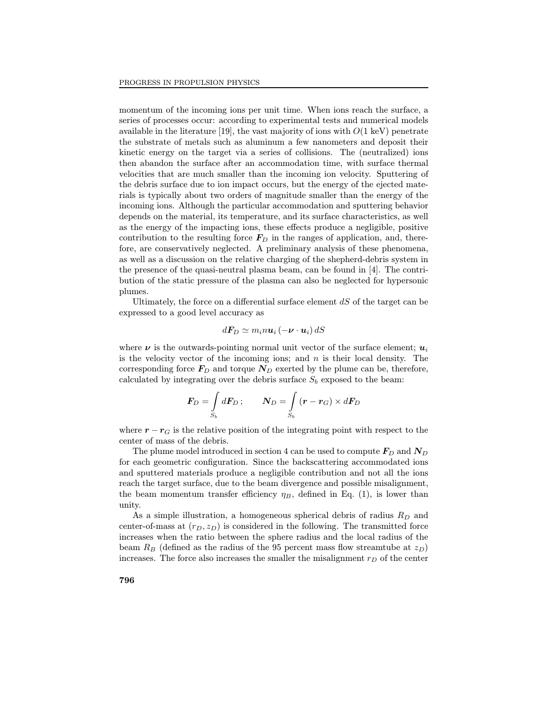momentum of the incoming ions per unit time. When ions reach the surface, a series of processes occur: according to experimental tests and numerical models available in the literature [19], the vast majority of ions with  $O(1 \text{ keV})$  penetrate the substrate of metals such as aluminum a few nanometers and deposit their kinetic energy on the target via a series of collisions. The (neutralized) ions then abandon the surface after an accommodation time, with surface thermal velocities that are much smaller than the incoming ion velocity. Sputtering of the debris surface due to ion impact occurs, but the energy of the ejected materials is typically about two orders of magnitude smaller than the energy of the incoming ions. Although the particular accommodation and sputtering behavior depends on the material, its temperature, and its surface characteristics, as well as the energy of the impacting ions, these effects produce a negligible, positive contribution to the resulting force  $F<sub>D</sub>$  in the ranges of application, and, therefore, are conservatively neglected. A preliminary analysis of these phenomena, as well as a discussion on the relative charging of the shepherd-debris system in the presence of the quasi-neutral plasma beam, can be found in [4]. The contribution of the static pressure of the plasma can also be neglected for hypersonic plumes.

Ultimately, the force on a differential surface element  $dS$  of the target can be expressed to a good level accuracy as

$$
d\boldsymbol{F}_D \simeq m_i n \boldsymbol{u}_i \left(-\boldsymbol{\nu} \cdot \boldsymbol{u}_i\right) dS
$$

where  $\nu$  is the outwards-pointing normal unit vector of the surface element;  $u_i$ is the velocity vector of the incoming ions; and  $n$  is their local density. The corresponding force  $\mathbf{F}_D$  and torque  $\mathbf{N}_D$  exerted by the plume can be, therefore, calculated by integrating over the debris surface  $S_b$  exposed to the beam:

$$
\boldsymbol{F}_D = \int\limits_{S_b} d\boldsymbol{F}_D \, ; \qquad \boldsymbol{N}_D = \int\limits_{S_b} (\boldsymbol{r} - \boldsymbol{r}_G) \times d\boldsymbol{F}_D
$$

where  $r - r<sub>G</sub>$  is the relative position of the integrating point with respect to the center of mass of the debris.

The plume model introduced in section 4 can be used to compute  $\mathbf{F}_D$  and  $\mathbf{N}_D$ for each geometric configuration. Since the backscattering accommodated ions and sputtered materials produce a negligible contribution and not all the ions reach the target surface, due to the beam divergence and possible misalignment, the beam momentum transfer efficiency  $\eta_B$ , defined in Eq. (1), is lower than unity.

As a simple illustration, a homogeneous spherical debris of radius  $R_D$  and center-of-mass at  $(r_D, z_D)$  is considered in the following. The transmitted force increases when the ratio between the sphere radius and the local radius of the beam  $R_B$  (defined as the radius of the 95 percent mass flow streamtube at  $z_D$ ) increases. The force also increases the smaller the misalignment  $r_D$  of the center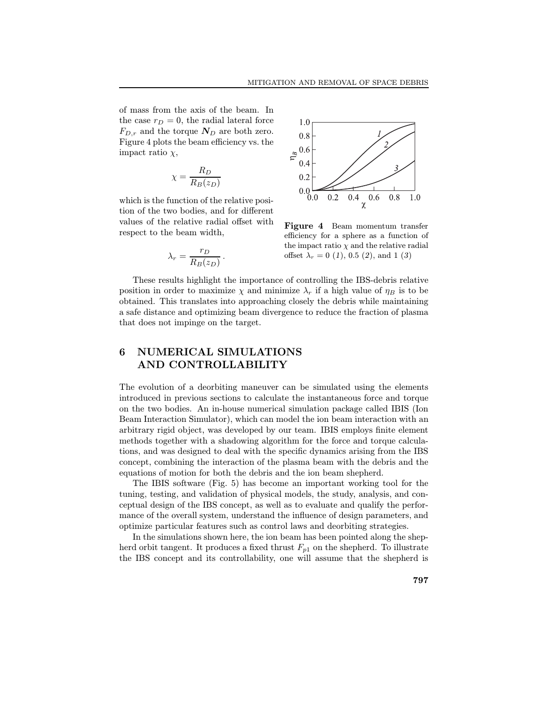of mass from the axis of the beam. In the case  $r_D = 0$ , the radial lateral force  $F_{D,r}$  and the torque  $N_D$  are both zero. Figure 4 plots the beam efficiency vs. the impact ratio  $\chi$ ,

$$
\chi = \frac{R_D}{R_B(z_D)}
$$

which is the function of the relative position of the two bodies, and for different values of the relative radial offset with respect to the beam width,

$$
\lambda_r = \frac{r_D}{R_B(z_D)}.
$$



Figure 4 Beam momentum transfer efficiency for a sphere as a function of the impact ratio  $\chi$  and the relative radial offset  $\lambda_r = 0$  (1), 0.5 (2), and 1 (3)

These results highlight the importance of controlling the IBS-debris relative position in order to maximize  $\chi$  and minimize  $\lambda_r$  if a high value of  $\eta_B$  is to be obtained. This translates into approaching closely the debris while maintaining a safe distance and optimizing beam divergence to reduce the fraction of plasma that does not impinge on the target.

## 6 NUMERICAL SIMULATIONS AND CONTROLLABILITY

The evolution of a deorbiting maneuver can be simulated using the elements introduced in previous sections to calculate the instantaneous force and torque on the two bodies. An in-house numerical simulation package called IBIS (Ion Beam Interaction Simulator), which can model the ion beam interaction with an arbitrary rigid object, was developed by our team. IBIS employs finite element methods together with a shadowing algorithm for the force and torque calculations, and was designed to deal with the specific dynamics arising from the IBS concept, combining the interaction of the plasma beam with the debris and the equations of motion for both the debris and the ion beam shepherd.

The IBIS software (Fig. 5) has become an important working tool for the tuning, testing, and validation of physical models, the study, analysis, and conceptual design of the IBS concept, as well as to evaluate and qualify the performance of the overall system, understand the influence of design parameters, and optimize particular features such as control laws and deorbiting strategies.

In the simulations shown here, the ion beam has been pointed along the shepherd orbit tangent. It produces a fixed thrust  $F_{p1}$  on the shepherd. To illustrate the IBS concept and its controllability, one will assume that the shepherd is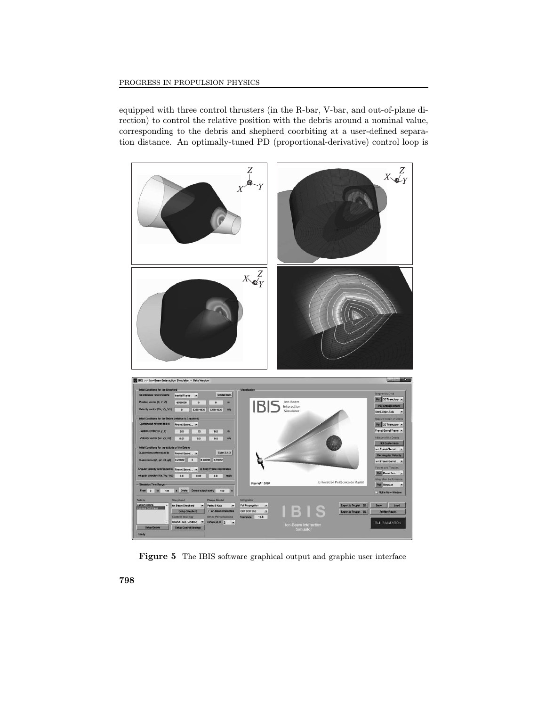equipped with three control thrusters (in the R-bar, V-bar, and out-of-plane direction) to control the relative position with the debris around a nominal value, corresponding to the debris and shepherd coorbiting at a user-defined separation distance. An optimally-tuned PD (proportional-derivative) control loop is



Figure 5 The IBIS software graphical output and graphic user interface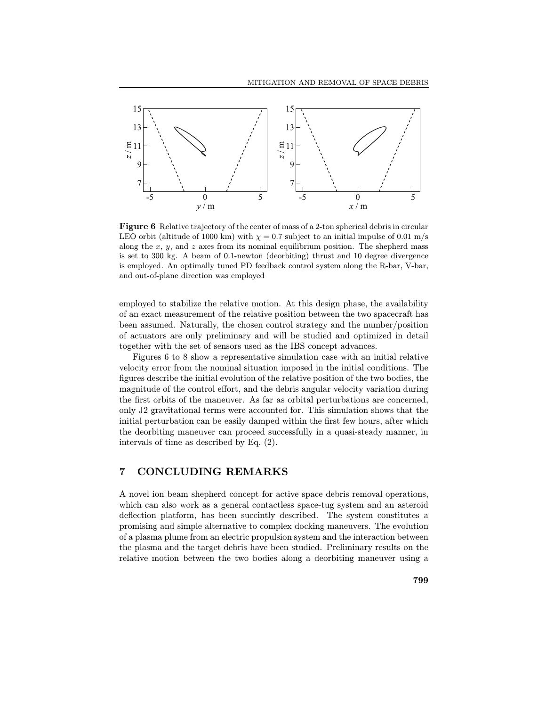

Figure 6 Relative trajectory of the center of mass of a 2-ton spherical debris in circular LEO orbit (altitude of 1000 km) with  $\chi = 0.7$  subject to an initial impulse of 0.01 m/s along the x, y, and z axes from its nominal equilibrium position. The shepherd mass is set to 300 kg. A beam of 0.1-newton (deorbiting) thrust and 10 degree divergence is employed. An optimally tuned PD feedback control system along the R-bar, V-bar, and out-of-plane direction was employed

employed to stabilize the relative motion. At this design phase, the availability of an exact measurement of the relative position between the two spacecraft has been assumed. Naturally, the chosen control strategy and the number/position of actuators are only preliminary and will be studied and optimized in detail together with the set of sensors used as the IBS concept advances.

Figures 6 to 8 show a representative simulation case with an initial relative velocity error from the nominal situation imposed in the initial conditions. The figures describe the initial evolution of the relative position of the two bodies, the magnitude of the control effort, and the debris angular velocity variation during the first orbits of the maneuver. As far as orbital perturbations are concerned, only J2 gravitational terms were accounted for. This simulation shows that the initial perturbation can be easily damped within the first few hours, after which the deorbiting maneuver can proceed successfully in a quasi-steady manner, in intervals of time as described by Eq. (2).

### 7 CONCLUDING REMARKS

A novel ion beam shepherd concept for active space debris removal operations, which can also work as a general contactless space-tug system and an asteroid deflection platform, has been succintly described. The system constitutes a promising and simple alternative to complex docking maneuvers. The evolution of a plasma plume from an electric propulsion system and the interaction between the plasma and the target debris have been studied. Preliminary results on the relative motion between the two bodies along a deorbiting maneuver using a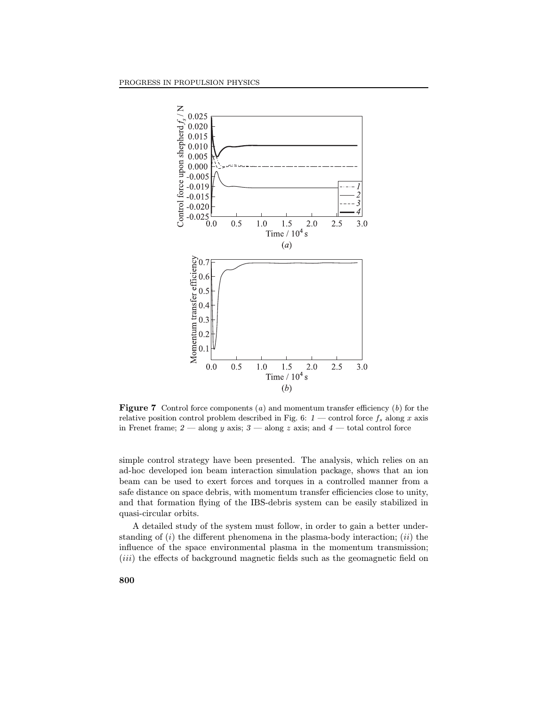

**Figure 7** Control force components  $(a)$  and momentum transfer efficiency  $(b)$  for the relative position control problem described in Fig. 6:  $1$  — control force  $f_s$  along x axis in Frenet frame; 2 — along y axis; 3 — along z axis; and 4 — total control force

simple control strategy have been presented. The analysis, which relies on an ad-hoc developed ion beam interaction simulation package, shows that an ion beam can be used to exert forces and torques in a controlled manner from a safe distance on space debris, with momentum transfer efficiencies close to unity, and that formation flying of the IBS-debris system can be easily stabilized in quasi-circular orbits.

A detailed study of the system must follow, in order to gain a better understanding of  $(i)$  the different phenomena in the plasma-body interaction;  $(ii)$  the influence of the space environmental plasma in the momentum transmission;  $(iii)$  the effects of background magnetic fields such as the geomagnetic field on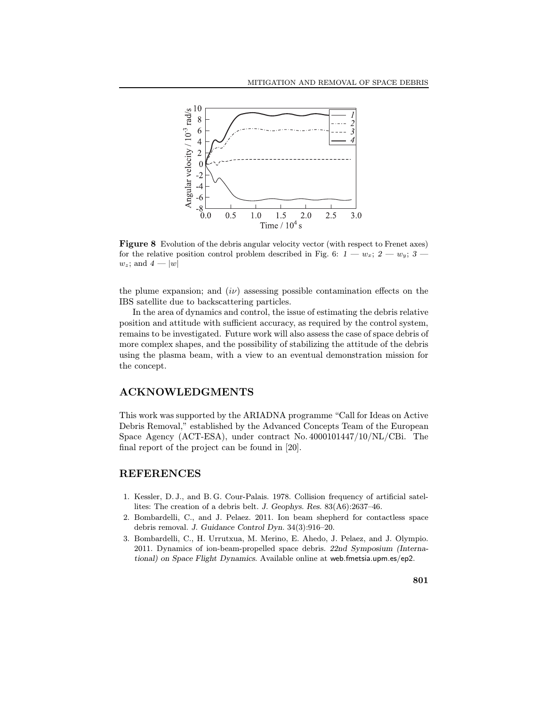

Figure 8 Evolution of the debris angular velocity vector (with respect to Frenet axes) for the relative position control problem described in Fig. 6:  $1 - w_x$ ;  $2 - w_y$ ;  $3$  $w_z$ ; and  $4 - |w|$ 

the plume expansion; and  $(i\nu)$  assessing possible contamination effects on the IBS satellite due to backscattering particles.

In the area of dynamics and control, the issue of estimating the debris relative position and attitude with sufficient accuracy, as required by the control system, remains to be investigated. Future work will also assess the case of space debris of more complex shapes, and the possibility of stabilizing the attitude of the debris using the plasma beam, with a view to an eventual demonstration mission for the concept.

### ACKNOWLEDGMENTS

This work was supported by the ARIADNA programme "Call for Ideas on Active" Debris Removal," established by the Advanced Concepts Team of the European Space Agency (ACT-ESA), under contract No. 4000101447/10/NL/CBi. The final report of the project can be found in [20].

#### REFERENCES

- 1. Kessler, D. J., and B. G. Cour-Palais. 1978. Collision frequency of artificial satellites: The creation of a debris belt. J. Geophys. Res.  $83(A6):2637-46$ .
- 2. Bombardelli, C., and J. Pelaez. 2011. Ion beam shepherd for contactless space debris removal. J. Guidance Control Dyn. 34(3):916-20.
- 3. Bombardelli, C., H. Urrutxua, M. Merino, E. Ahedo, J. Pelaez, and J. Olympio. 2011. Dynamics of ion-beam-propelled space debris. 22nd Symposium (International) on Space Flight Dynamics. Available online at web.fmetsia.upm.es/ep2.